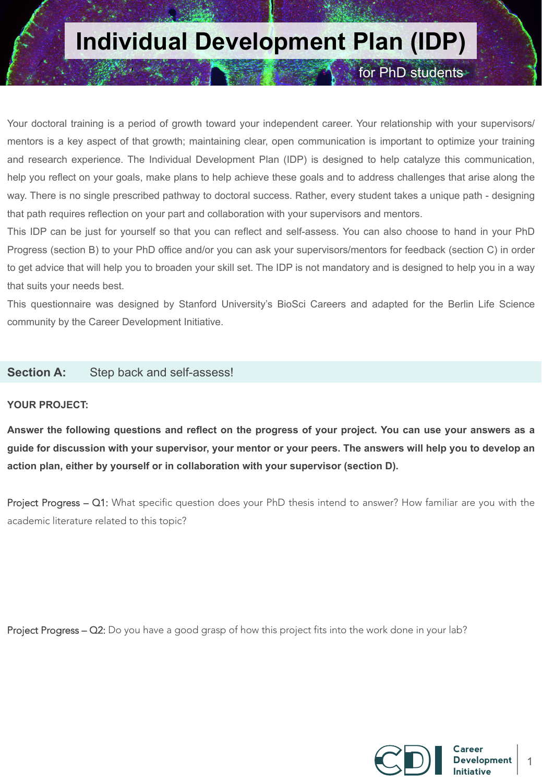### **Individual Development Plan (IDP)**

for PhD students

Your doctoral training is a period of growth toward your independent career. Your relationship with your supervisors/ mentors is a key aspect of that growth; maintaining clear, open communication is important to optimize your training and research experience. The Individual Development Plan (IDP) is designed to help catalyze this communication, help you reflect on your goals, make plans to help achieve these goals and to address challenges that arise along the way. There is no single prescribed pathway to doctoral success. Rather, every student takes a unique path - designing that path requires reflection on your part and collaboration with your supervisors and mentors.

This IDP can be just for yourself so that you can reflect and self-assess. You can also choose to hand in your PhD Progress (section B) to your PhD office and/or you can ask your supervisors/mentors for feedback (section C) in order to get advice that will help you to broaden your skill set. The IDP is not mandatory and is designed to help you in a way that suits your needs best.

This questionnaire was designed by Stanford University's BioSci Careers and adapted for the Berlin Life Science community by the Career Development Initiative.

#### **Section A:** Step back and self-assess!

#### **YOUR PROJECT:**

**Answer the following questions and reflect on the progress of your project. You can use your answers as a guide for discussion with your supervisor, your mentor or your peers. The answers will help you to develop an action plan, either by yourself or in collaboration with your supervisor (section D).** 

Project Progress – Q1: What specific question does your PhD thesis intend to answer? How familiar are you with the academic literature related to this topic?

Project Progress – Q2: Do you have a good grasp of how this project fits into the work done in your lab?

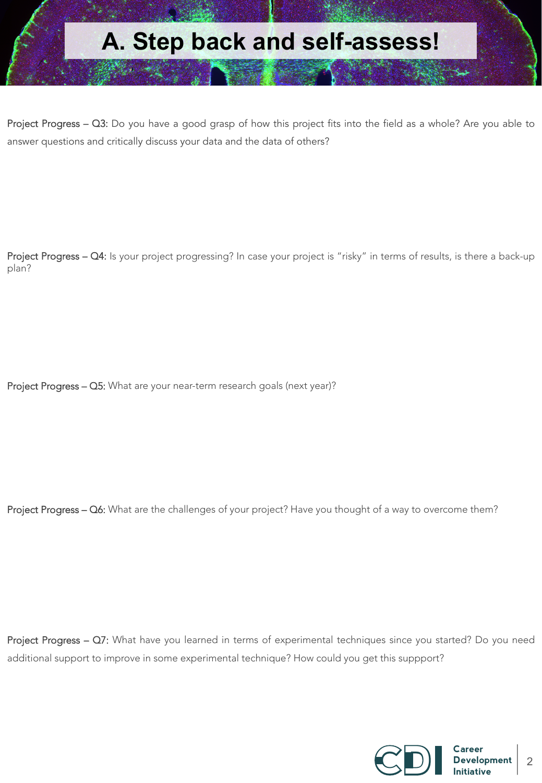Project Progress – Q3: Do you have a good grasp of how this project fits into the field as a whole? Are you able to answer questions and critically discuss your data and the data of others?

Project Progress – Q4: Is your project progressing? In case your project is "risky" in terms of results, is there a back-up plan?

Project Progress - Q5: What are your near-term research goals (next year)?

Project Progress – Q6: What are the challenges of your project? Have you thought of a way to overcome them?

Project Progress - Q7: What have you learned in terms of experimental techniques since you started? Do you need additional support to improve in some experimental technique? How could you get this suppport?

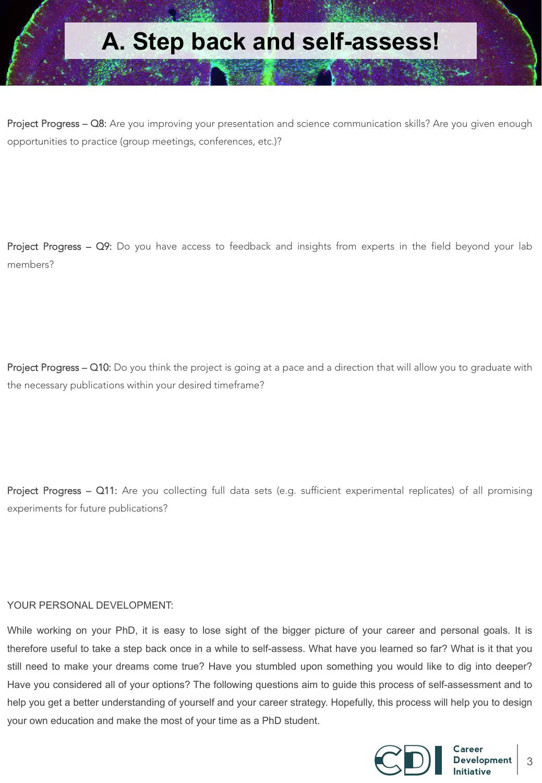Project Progress – Q8: Are you improving your presentation and science communication skills? Are you given enough opportunities to practice (group meetings, conferences, etc.)?

Project Progress - Q9: Do you have access to feedback and insights from experts in the field beyond your lab members?

Project Progress – Q10: Do you think the project is going at a pace and a direction that will allow you to graduate with the necessary publications within your desired timeframe?

Project Progress – Q11: Are you collecting full data sets (e.g. sufficient experimental replicates) of all promising experiments for future publications?

#### YOUR PERSONAL DEVELOPMENT:

While working on your PhD, it is easy to lose sight of the bigger picture of your career and personal goals. It is therefore useful to take a step back once in a while to self-assess. What have you learned so far? What is it that you still need to make your dreams come true? Have you stumbled upon something you would like to dig into deeper? Have you considered all of your options? The following questions aim to guide this process of self-assessment and to help you get a better understanding of yourself and your career strategy. Hopefully, this process will help you to design your own education and make the most of your time as a PhD student.

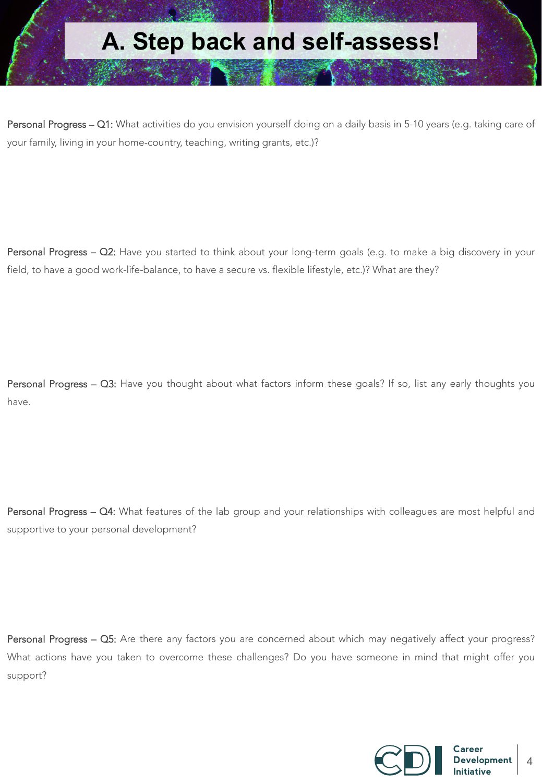Personal Progress – Q1: What activities do you envision yourself doing on a daily basis in 5-10 years (e.g. taking care of your family, living in your home-country, teaching, writing grants, etc.)?

Personal Progress - Q2: Have you started to think about your long-term goals (e.g. to make a big discovery in your field, to have a good work-life-balance, to have a secure vs. flexible lifestyle, etc.)? What are they?

Personal Progress - Q3: Have you thought about what factors inform these goals? If so, list any early thoughts you have.

Personal Progress - Q4: What features of the lab group and your relationships with colleagues are most helpful and supportive to your personal development?

Personal Progress - Q5: Are there any factors you are concerned about which may negatively affect your progress? What actions have you taken to overcome these challenges? Do you have someone in mind that might offer you support?

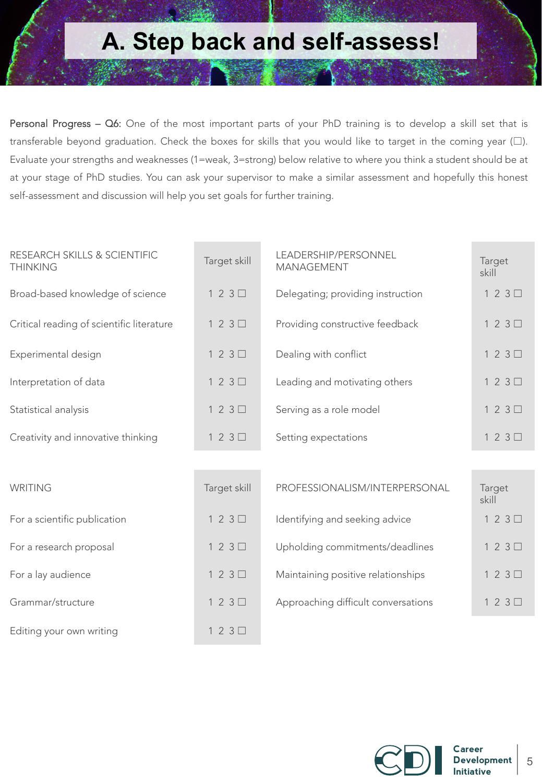Personal Progress – Q6: One of the most important parts of your PhD training is to develop a skill set that is transferable beyond graduation. Check the boxes for skills that you would like to target in the coming year (☐). Evaluate your strengths and weaknesses (1=weak, 3=strong) below relative to where you think a student should be at at your stage of PhD studies. You can ask your supervisor to make a similar assessment and hopefully this honest self-assessment and discussion will help you set goals for further training.

| RESEARCH SKILLS & SCIENTIFIC<br><b>THINKING</b> | Target skill | LEADERSHIP/PERSONNEL<br><b>MANAGEMENT</b> | Target<br>skill |
|-------------------------------------------------|--------------|-------------------------------------------|-----------------|
| Broad-based knowledge of science                | $123\Box$    | Delegating; providing instruction         | $123\Box$       |
| Critical reading of scientific literature       | $123\Box$    | Providing constructive feedback           | $123\Box$       |
| Experimental design                             | $123\Box$    | Dealing with conflict                     | $123\Box$       |
| Interpretation of data                          | $123\Box$    | Leading and motivating others             | $123\Box$       |
| Statistical analysis                            | $123\Box$    | Serving as a role model                   | $123\Box$       |
| Creativity and innovative thinking              | $123\Box$    | Setting expectations                      | $123\Box$       |
|                                                 |              |                                           |                 |
| <b>WRITING</b>                                  | Target skill | PROFESSIONALISM/INTERPERSONAL             | Target<br>skill |
| For a scientific publication                    | $123\Box$    | Identifying and seeking advice            | $123\Box$       |
| For a research proposal                         | $123\Box$    | Upholding commitments/deadlines           | $123\Box$       |
| For a lay audience                              | $123\Box$    | Maintaining positive relationships        | $123\Box$       |
| Grammar/structure                               | $123\Box$    | Approaching difficult conversations       | $123\Box$       |
| Editing your own writing                        | $123\Box$    |                                           |                 |

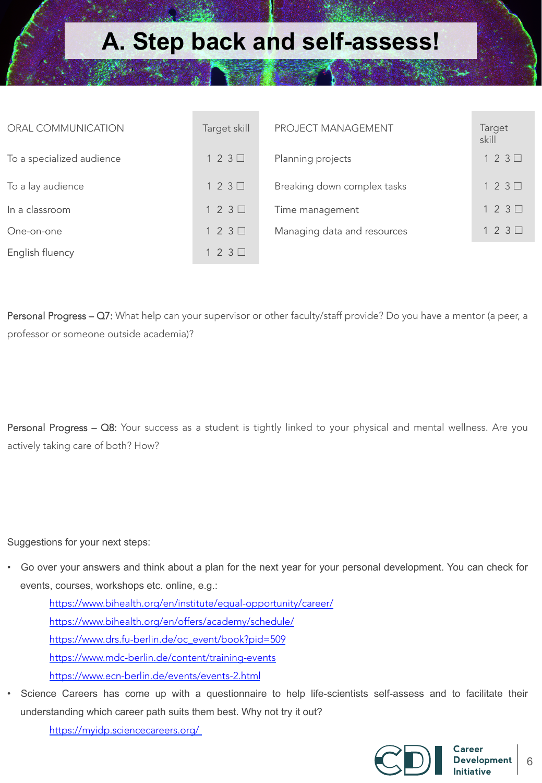| ORAL COMMUNICATION        | Target skill | PROJECT MANAGEMENT          | Target<br>skill |
|---------------------------|--------------|-----------------------------|-----------------|
| To a specialized audience | $123\Box$    | Planning projects           | $123\Box$       |
| To a lay audience         | $123\Box$    | Breaking down complex tasks | $123\Box$       |
| In a classroom            | $123\Box$    | Time management             | $123\Box$       |
| One-on-one                | $123\Box$    | Managing data and resources | $123\Box$       |
| English fluency           | $123\Box$    |                             |                 |

Personal Progress – Q7: What help can your supervisor or other faculty/staff provide? Do you have a mentor (a peer, a professor or someone outside academia)?

Personal Progress – Q8: Your success as a student is tightly linked to your physical and mental wellness. Are you actively taking care of both? How?

Suggestions for your next steps:

• Go over your answers and think about a plan for the next year for your personal development. You can check for events, courses, workshops etc. online, e.g.:

https://www.bihealth.org/en/institute/equal-opportunity/career/ https://www.bihealth.org/en/offers/academy/schedule/ https://www.drs.fu-berlin.de/oc\_event/book?pid=509 https://www.mdc-berlin.de/content/training-events https://www.ecn-berlin.de/events/events-2.html

Science Careers has come up with a questionnaire to help life-scientists self-assess and to facilitate their understanding which career path suits them best. Why not try it out?

https://myidp.sciencecareers.org/

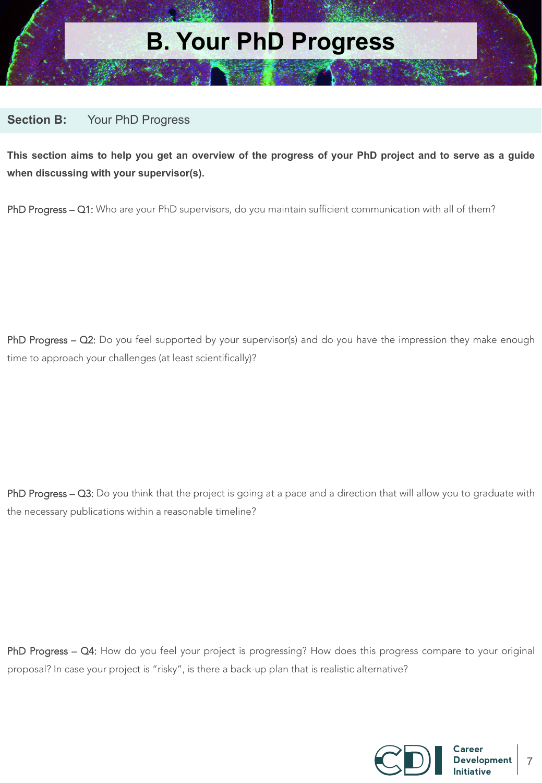

#### **Section B:** Your PhD Progress

**This section aims to help you get an overview of the progress of your PhD project and to serve as a guide when discussing with your supervisor(s).** 

PhD Progress - Q1: Who are your PhD supervisors, do you maintain sufficient communication with all of them?

PhD Progress - Q2: Do you feel supported by your supervisor(s) and do you have the impression they make enough time to approach your challenges (at least scientifically)?

PhD Progress – Q3: Do you think that the project is going at a pace and a direction that will allow you to graduate with the necessary publications within a reasonable timeline?

PhD Progress – Q4: How do you feel your project is progressing? How does this progress compare to your original proposal? In case your project is "risky", is there a back-up plan that is realistic alternative?

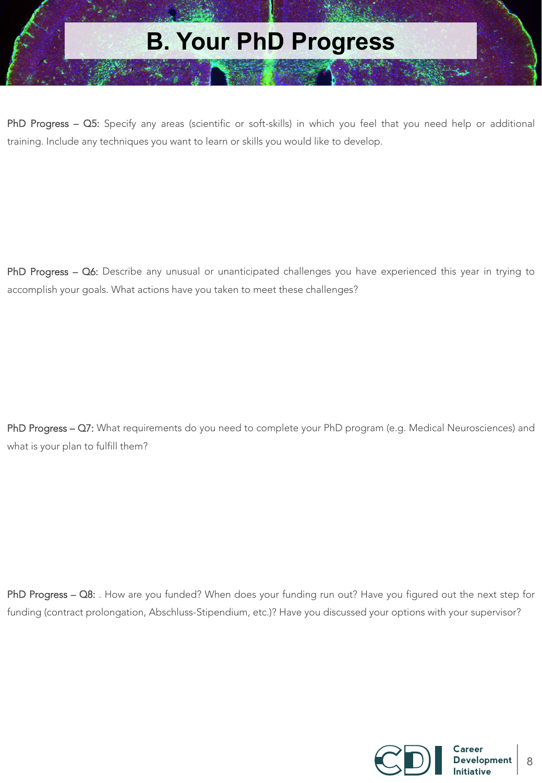# **B. Your PhD Progress**

PhD Progress – Q5: Specify any areas (scientific or soft-skills) in which you feel that you need help or additional training. Include any techniques you want to learn or skills you would like to develop.

PhD Progress - Q6: Describe any unusual or unanticipated challenges you have experienced this year in trying to accomplish your goals. What actions have you taken to meet these challenges?

PhD Progress - Q7: What requirements do you need to complete your PhD program (e.g. Medical Neurosciences) and what is your plan to fulfill them?

PhD Progress - Q8: . How are you funded? When does your funding run out? Have you figured out the next step for funding (contract prolongation, Abschluss-Stipendium, etc.)? Have you discussed your options with your supervisor?

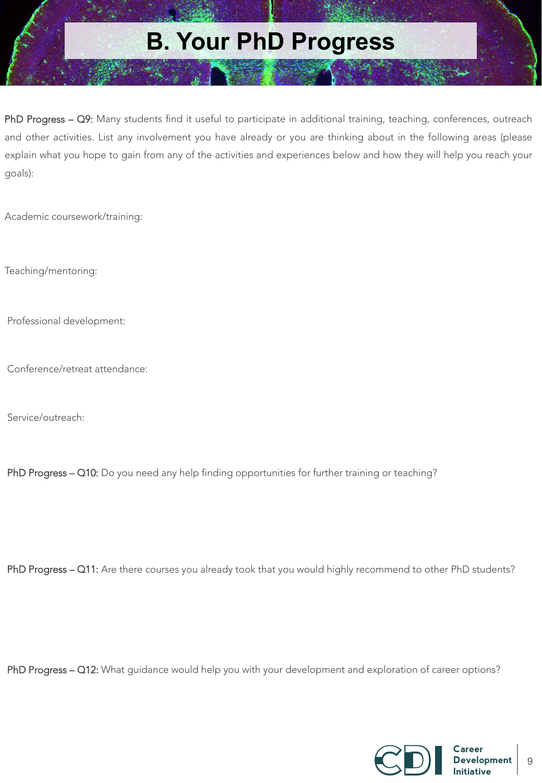## **B. Your PhD Progress**

PhD Progress – Q9: Many students find it useful to participate in additional training, teaching, conferences, outreach and other activities. List any involvement you have already or you are thinking about in the following areas (please explain what you hope to gain from any of the activities and experiences below and how they will help you reach your goals):

Academic coursework/training:

Teaching/mentoring:

Professional development:

Conference/retreat attendance:

Service/outreach:

PhD Progress - Q10: Do you need any help finding opportunities for further training or teaching?

PhD Progress - Q11: Are there courses you already took that you would highly recommend to other PhD students?

PhD Progress - Q12: What guidance would help you with your development and exploration of career options?

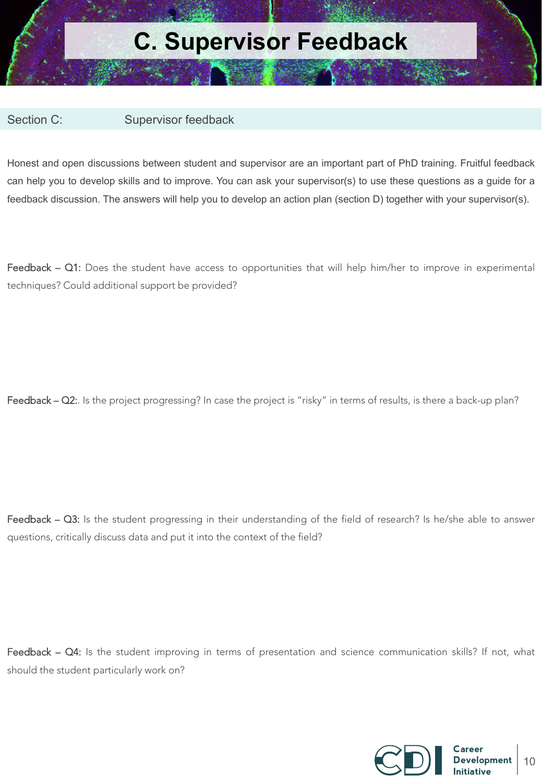### **C. Supervisor Feedback**

Section C: Supervisor feedback

Honest and open discussions between student and supervisor are an important part of PhD training. Fruitful feedback can help you to develop skills and to improve. You can ask your supervisor(s) to use these questions as a guide for a feedback discussion. The answers will help you to develop an action plan (section D) together with your supervisor(s).

Feedback - Q1: Does the student have access to opportunities that will help him/her to improve in experimental techniques? Could additional support be provided?

Feedback – Q2:. Is the project progressing? In case the project is "risky" in terms of results, is there a back-up plan?

Feedback – Q3: Is the student progressing in their understanding of the field of research? Is he/she able to answer questions, critically discuss data and put it into the context of the field?

Feedback – Q4: Is the student improving in terms of presentation and science communication skills? If not, what should the student particularly work on?

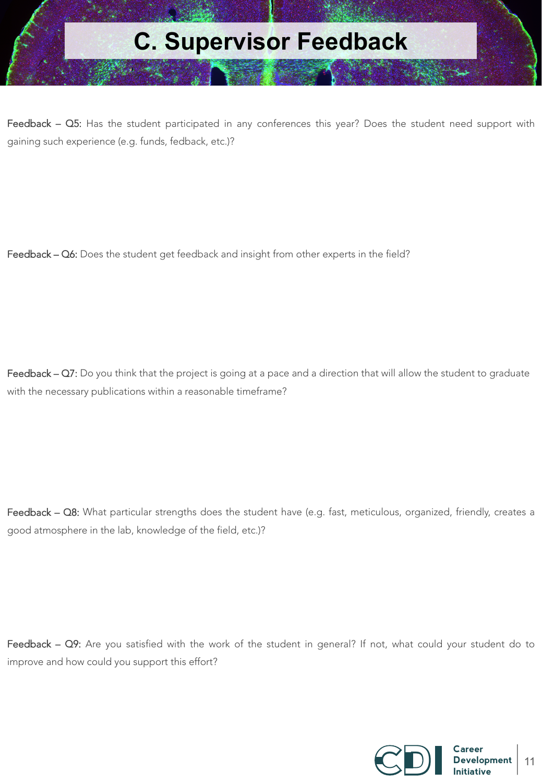

Feedback – Q5: Has the student participated in any conferences this year? Does the student need support with gaining such experience (e.g. funds, fedback, etc.)?

Feedback – Q6: Does the student get feedback and insight from other experts in the field?

Feedback – Q7: Do you think that the project is going at a pace and a direction that will allow the student to graduate with the necessary publications within a reasonable timeframe?

Feedback - Q8: What particular strengths does the student have (e.g. fast, meticulous, organized, friendly, creates a good atmosphere in the lab, knowledge of the field, etc.)?

Feedback - Q9: Are you satisfied with the work of the student in general? If not, what could your student do to improve and how could you support this effort?

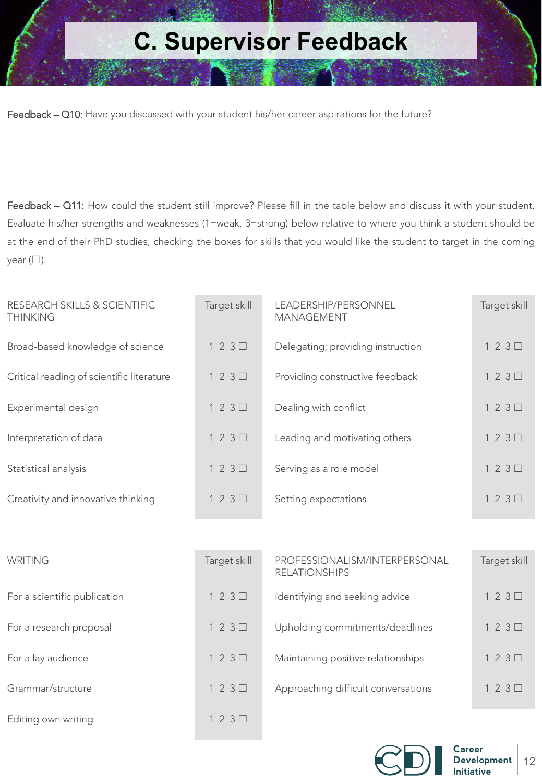## **C. Supervisor Feedback**

Feedback - Q10: Have you discussed with your student his/her career aspirations for the future?

Feedback – Q11: How could the student still improve? Please fill in the table below and discuss it with your student. Evaluate his/her strengths and weaknesses (1=weak, 3=strong) below relative to where you think a student should be at the end of their PhD studies, checking the boxes for skills that you would like the student to target in the coming year  $(\Box)$ .

| RESEARCH SKILLS & SCIENTIFIC<br><b>THINKING</b> | Target skill | LEADERSHIP/PERSONNEL<br><b>MANAGEMENT</b> | Target skill |
|-------------------------------------------------|--------------|-------------------------------------------|--------------|
| Broad-based knowledge of science                | $123\Box$    | Delegating; providing instruction         | $123\Box$    |
| Critical reading of scientific literature       | $123\Box$    | Providing constructive feedback           | 123          |
| Experimental design                             | $123\Box$    | Dealing with conflict                     | $123\Box$    |
| Interpretation of data                          | $123\Box$    | Leading and motivating others             | $123\Box$    |
| Statistical analysis                            | $123\Box$    | Serving as a role model                   | $123\Box$    |
| Creativity and innovative thinking              | $123\Box$    | Setting expectations                      | $123\Box$    |
|                                                 |              |                                           |              |

| WRITING                      | Target skill | PROFESSIONALISM/INTERPERSONAL<br><b>RELATIONSHIPS</b> | Target skill |
|------------------------------|--------------|-------------------------------------------------------|--------------|
| For a scientific publication | $123\Box$    | Identifying and seeking advice                        | $123\Box$    |
| For a research proposal      | $123\Box$    | Upholding commitments/deadlines                       | $123\Box$    |
| For a lay audience           | $123\Box$    | Maintaining positive relationships                    | $123\Box$    |
| Grammar/structure            | $123\Box$    | Approaching difficult conversations                   | $123\Box$    |
| Editing own writing          | $123\Box$    |                                                       |              |

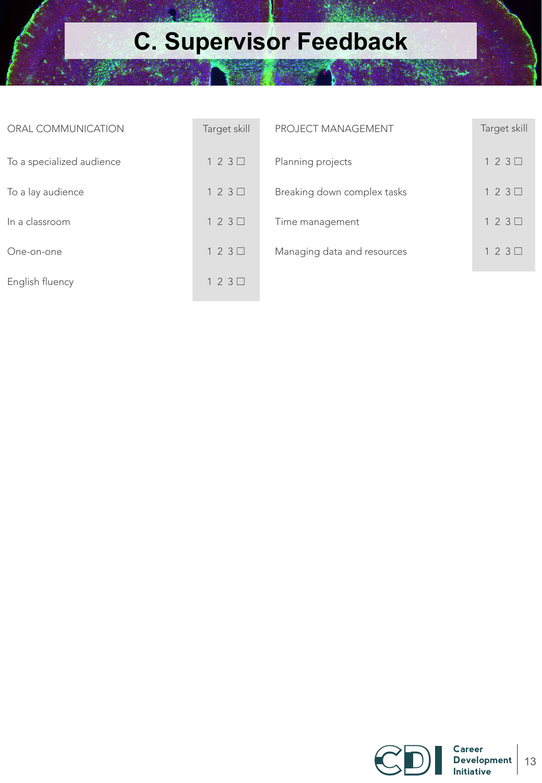# **C. Supervisor Feedback**

| ORAL COMMUNICATION        | Target skill | <b>PROJECT MANAGEMENT</b>   | Target skill |
|---------------------------|--------------|-----------------------------|--------------|
| To a specialized audience | $123\Box$    | Planning projects           | $123\Box$    |
| To a lay audience         | $123\Box$    | Breaking down complex tasks | $123\Box$    |
| In a classroom            | $123\Box$    | Time management             | $123\Box$    |
| One-on-one                | $123\Box$    | Managing data and resources | 123          |
| English fluency           | $123\Box$    |                             |              |